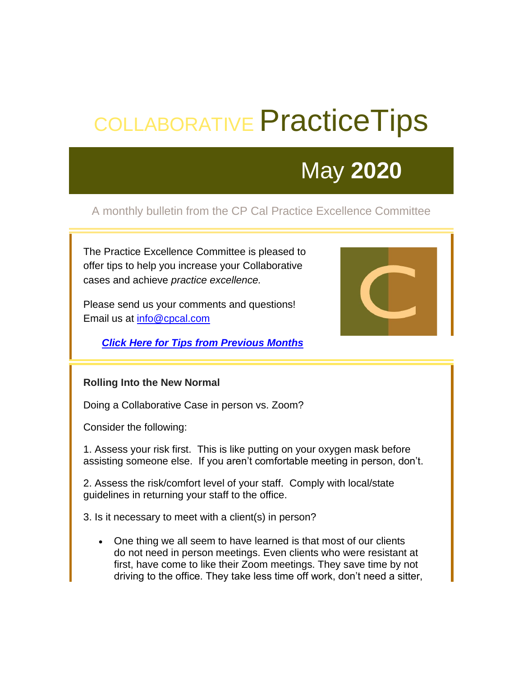# COLLABORATIVE Practice Tips

## May **2020**

### A monthly bulletin from the CP Cal Practice Excellence Committee

The Practice Excellence Committee is pleased to offer tips to help you increase your Collaborative cases and achieve *practice excellence.*

Please send us your comments and questions! Email us at [info@cpcal.com](mailto:info@cpcal.com)

*[Click Here for Tips from Previous Months](https://cpc49.wildapricot.org/EmailTracker/LinkTracker.ashx?linkAndRecipientCode=%2baWBAxiPPKrf4J6Nb8nDfpQl0RzyGlZpolO7Dd8D%2f5LwNhqrhelNPd3eESSAJrtXULZBY3%2bbUyFk6SX28ZzLEf1Q%2fD%2b6Fqalc%2biRjF07OAc%3d)*



#### **Rolling Into the New Normal**

Doing a Collaborative Case in person vs. Zoom?

Consider the following:

1. Assess your risk first. This is like putting on your oxygen mask before assisting someone else. If you aren't comfortable meeting in person, don't.

2. Assess the risk/comfort level of your staff. Comply with local/state guidelines in returning your staff to the office.

3. Is it necessary to meet with a client(s) in person?

• One thing we all seem to have learned is that most of our clients do not need in person meetings. Even clients who were resistant at first, have come to like their Zoom meetings. They save time by not driving to the office. They take less time off work, don't need a sitter,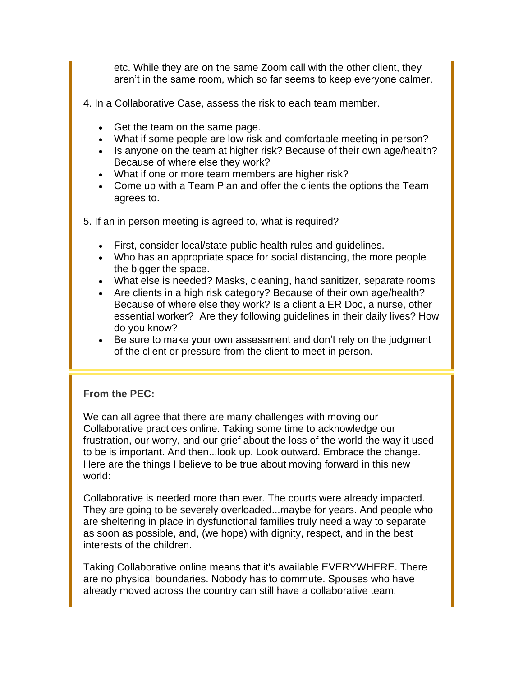etc. While they are on the same Zoom call with the other client, they aren't in the same room, which so far seems to keep everyone calmer.

4. In a Collaborative Case, assess the risk to each team member.

- Get the team on the same page.
- What if some people are low risk and comfortable meeting in person?
- Is anyone on the team at higher risk? Because of their own age/health? Because of where else they work?
- What if one or more team members are higher risk?
- Come up with a Team Plan and offer the clients the options the Team agrees to.
- 5. If an in person meeting is agreed to, what is required?
	- First, consider local/state public health rules and guidelines.
	- Who has an appropriate space for social distancing, the more people the bigger the space.
	- What else is needed? Masks, cleaning, hand sanitizer, separate rooms
	- Are clients in a high risk category? Because of their own age/health? Because of where else they work? Is a client a ER Doc, a nurse, other essential worker? Are they following guidelines in their daily lives? How do you know?
	- Be sure to make your own assessment and don't rely on the judgment of the client or pressure from the client to meet in person.

#### **From the PEC:**

We can all agree that there are many challenges with moving our Collaborative practices online. Taking some time to acknowledge our frustration, our worry, and our grief about the loss of the world the way it used to be is important. And then...look up. Look outward. Embrace the change. Here are the things I believe to be true about moving forward in this new world:

Collaborative is needed more than ever. The courts were already impacted. They are going to be severely overloaded...maybe for years. And people who are sheltering in place in dysfunctional families truly need a way to separate as soon as possible, and, (we hope) with dignity, respect, and in the best interests of the children.

Taking Collaborative online means that it's available EVERYWHERE. There are no physical boundaries. Nobody has to commute. Spouses who have already moved across the country can still have a collaborative team.